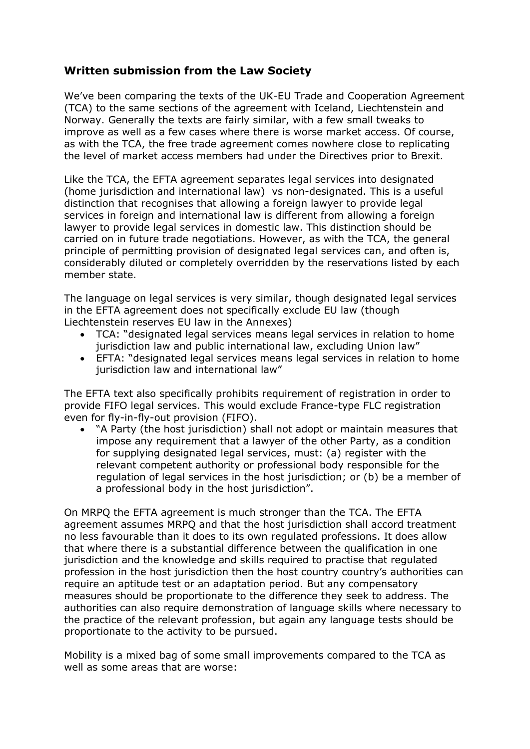## **Written submission from the Law Society**

We've been comparing the texts of the UK-EU Trade and Cooperation Agreement (TCA) to the same sections of the agreement with Iceland, Liechtenstein and Norway. Generally the texts are fairly similar, with a few small tweaks to improve as well as a few cases where there is worse market access. Of course, as with the TCA, the free trade agreement comes nowhere close to replicating the level of market access members had under the Directives prior to Brexit.

Like the TCA, the EFTA agreement separates legal services into designated (home jurisdiction and international law) vs non-designated. This is a useful distinction that recognises that allowing a foreign lawyer to provide legal services in foreign and international law is different from allowing a foreign lawyer to provide legal services in domestic law. This distinction should be carried on in future trade negotiations. However, as with the TCA, the general principle of permitting provision of designated legal services can, and often is, considerably diluted or completely overridden by the reservations listed by each member state.

The language on legal services is very similar, though designated legal services in the EFTA agreement does not specifically exclude EU law (though Liechtenstein reserves EU law in the Annexes)

- TCA: "designated legal services means legal services in relation to home jurisdiction law and public international law, excluding Union law"
- EFTA: "designated legal services means legal services in relation to home jurisdiction law and international law"

The EFTA text also specifically prohibits requirement of registration in order to provide FIFO legal services. This would exclude France-type FLC registration even for fly-in-fly-out provision (FIFO).

• "A Party (the host jurisdiction) shall not adopt or maintain measures that impose any requirement that a lawyer of the other Party, as a condition for supplying designated legal services, must: (a) register with the relevant competent authority or professional body responsible for the regulation of legal services in the host jurisdiction; or (b) be a member of a professional body in the host jurisdiction".

On MRPQ the EFTA agreement is much stronger than the TCA. The EFTA agreement assumes MRPQ and that the host jurisdiction shall accord treatment no less favourable than it does to its own regulated professions. It does allow that where there is a substantial difference between the qualification in one jurisdiction and the knowledge and skills required to practise that regulated profession in the host jurisdiction then the host country country's authorities can require an aptitude test or an adaptation period. But any compensatory measures should be proportionate to the difference they seek to address. The authorities can also require demonstration of language skills where necessary to the practice of the relevant profession, but again any language tests should be proportionate to the activity to be pursued.

Mobility is a mixed bag of some small improvements compared to the TCA as well as some areas that are worse: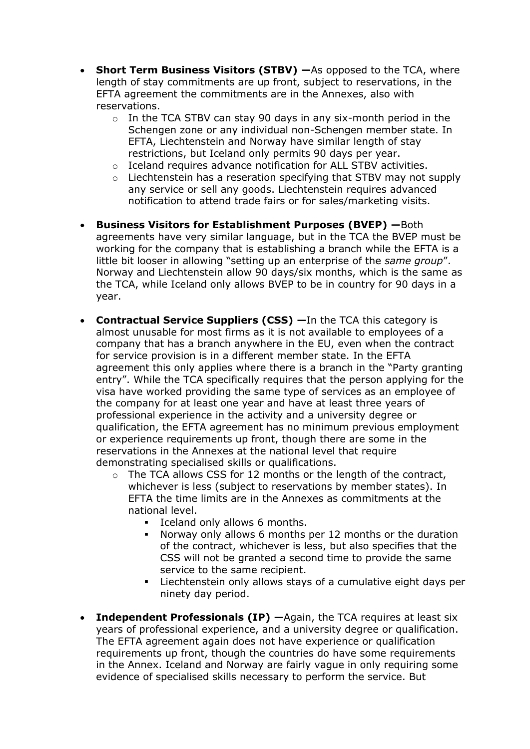- **Short Term Business Visitors (STBV) —**As opposed to the TCA, where length of stay commitments are up front, subject to reservations, in the EFTA agreement the commitments are in the Annexes, also with reservations.
	- o In the TCA STBV can stay 90 days in any six-month period in the Schengen zone or any individual non-Schengen member state. In EFTA, Liechtenstein and Norway have similar length of stay restrictions, but Iceland only permits 90 days per year.
	- o Iceland requires advance notification for ALL STBV activities.
	- $\circ$  Liechtenstein has a reseration specifying that STBV may not supply any service or sell any goods. Liechtenstein requires advanced notification to attend trade fairs or for sales/marketing visits.
- **Business Visitors for Establishment Purposes (BVEP) —**Both agreements have very similar language, but in the TCA the BVEP must be working for the company that is establishing a branch while the EFTA is a little bit looser in allowing "setting up an enterprise of the *same group*". Norway and Liechtenstein allow 90 days/six months, which is the same as the TCA, while Iceland only allows BVEP to be in country for 90 days in a year.
- **Contractual Service Suppliers (CSS) —**In the TCA this category is almost unusable for most firms as it is not available to employees of a company that has a branch anywhere in the EU, even when the contract for service provision is in a different member state. In the EFTA agreement this only applies where there is a branch in the "Party granting entry". While the TCA specifically requires that the person applying for the visa have worked providing the same type of services as an employee of the company for at least one year and have at least three years of professional experience in the activity and a university degree or qualification, the EFTA agreement has no minimum previous employment or experience requirements up front, though there are some in the reservations in the Annexes at the national level that require demonstrating specialised skills or qualifications.
	- $\circ$  The TCA allows CSS for 12 months or the length of the contract, whichever is less (subject to reservations by member states). In EFTA the time limits are in the Annexes as commitments at the national level.
		- Iceland only allows 6 months.
		- Norway only allows 6 months per 12 months or the duration of the contract, whichever is less, but also specifies that the CSS will not be granted a second time to provide the same service to the same recipient.
		- Liechtenstein only allows stays of a cumulative eight days per ninety day period.
- **Independent Professionals (IP) —**Again, the TCA requires at least six years of professional experience, and a university degree or qualification. The EFTA agreement again does not have experience or qualification requirements up front, though the countries do have some requirements in the Annex. Iceland and Norway are fairly vague in only requiring some evidence of specialised skills necessary to perform the service. But